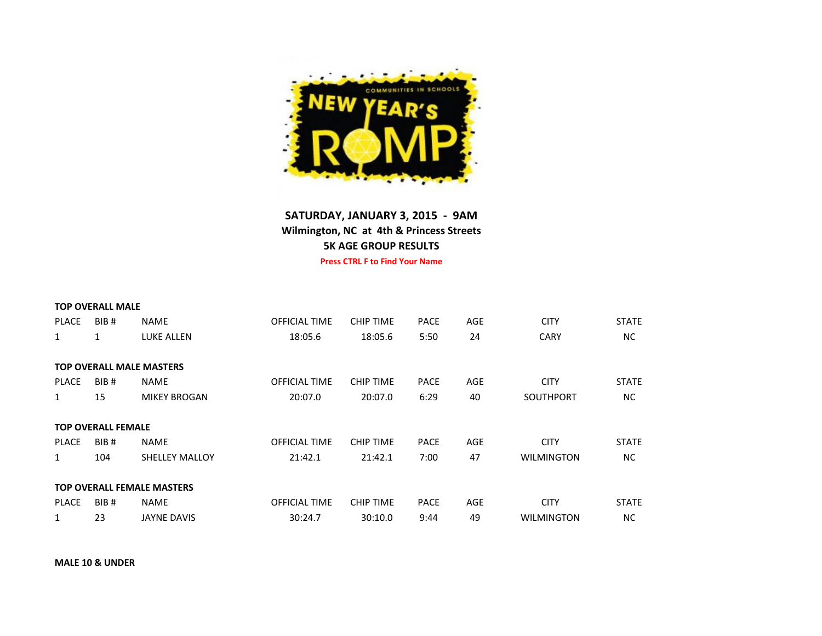

## **SATURDAY, JANUARY 3, 2015 - 9AM Wilmington, NC at 4th & Princess Streets 5K AGE GROUP RESULTS**

**Press CTRL F to Find Your Name**

|              | <b>TOP OVERALL MALE</b>   |                                   |               |                  |             |     |                   |              |
|--------------|---------------------------|-----------------------------------|---------------|------------------|-------------|-----|-------------------|--------------|
| <b>PLACE</b> | BIB <sub>#</sub>          | <b>NAME</b>                       | OFFICIAL TIME | <b>CHIP TIME</b> | <b>PACE</b> | AGE | <b>CITY</b>       | <b>STATE</b> |
| 1            | 1                         | LUKE ALLEN                        | 18:05.6       | 18:05.6          | 5:50        | 24  | <b>CARY</b>       | NC.          |
|              |                           | <b>TOP OVERALL MALE MASTERS</b>   |               |                  |             |     |                   |              |
| <b>PLACE</b> | BIB <sub>#</sub>          | <b>NAME</b>                       | OFFICIAL TIME | <b>CHIP TIME</b> | <b>PACE</b> | AGE | <b>CITY</b>       | <b>STATE</b> |
| 1            | 15                        | <b>MIKEY BROGAN</b>               | 20:07.0       | 20:07.0          | 6:29        | 40  | <b>SOUTHPORT</b>  | NC.          |
|              | <b>TOP OVERALL FEMALE</b> |                                   |               |                  |             |     |                   |              |
| <b>PLACE</b> | BIB <sub>#</sub>          | <b>NAME</b>                       | OFFICIAL TIME | <b>CHIP TIME</b> | <b>PACE</b> | AGE | <b>CITY</b>       | <b>STATE</b> |
| 1            | 104                       | <b>SHELLEY MALLOY</b>             | 21:42.1       | 21:42.1          | 7:00        | 47  | <b>WILMINGTON</b> | NC.          |
|              |                           | <b>TOP OVERALL FEMALE MASTERS</b> |               |                  |             |     |                   |              |
| <b>PLACE</b> | BIB <sub>#</sub>          | <b>NAME</b>                       | OFFICIAL TIME | <b>CHIP TIME</b> | <b>PACE</b> | AGE | <b>CITY</b>       | <b>STATE</b> |
| 1            | 23                        | <b>JAYNE DAVIS</b>                | 30:24.7       | 30:10.0          | 9:44        | 49  | <b>WILMINGTON</b> | <b>NC</b>    |

**MALE 10 & UNDER**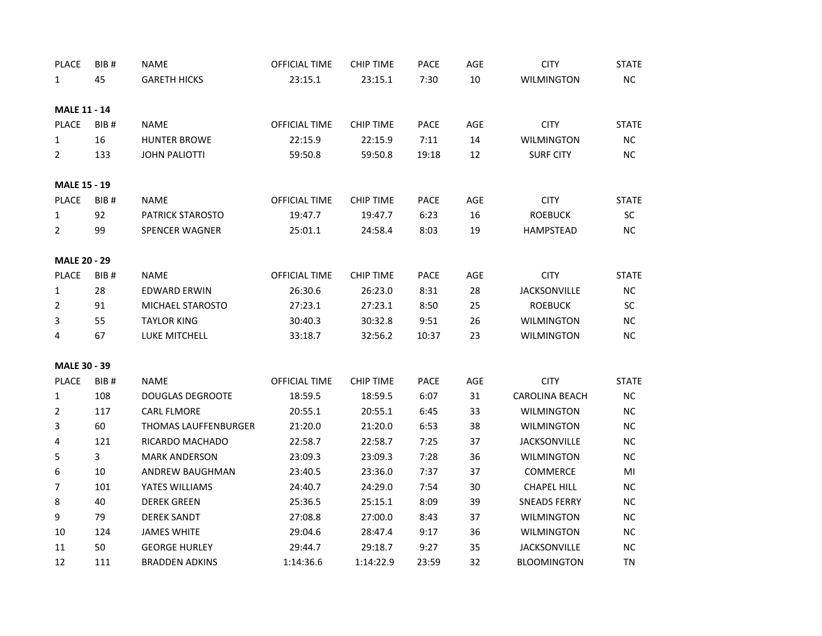| 45<br>10<br>NC<br><b>GARETH HICKS</b><br>23:15.1<br>23:15.1<br>7:30<br><b>WILMINGTON</b><br>$\mathbf{1}$<br><b>MALE 11 - 14</b><br><b>PLACE</b><br>BIB <sub>#</sub><br><b>NAME</b><br>OFFICIAL TIME<br>PACE<br>AGE<br><b>CITY</b><br><b>STATE</b><br><b>CHIP TIME</b><br>22:15.9<br>14<br>16<br><b>HUNTER BROWE</b><br>22:15.9<br>7:11<br><b>WILMINGTON</b><br><b>NC</b><br>1<br><b>JOHN PALIOTTI</b><br>12<br><b>SURF CITY</b><br>NC<br>$\mathbf{2}$<br>133<br>59:50.8<br>59:50.8<br>19:18<br><b>MALE 15 - 19</b><br><b>PLACE</b><br><b>CITY</b><br>BIB <sub>#</sub><br><b>NAME</b><br>OFFICIAL TIME<br><b>CHIP TIME</b><br><b>PACE</b><br>AGE<br><b>STATE</b><br>16<br>92<br><b>PATRICK STAROSTO</b><br>19:47.7<br>19:47.7<br>6:23<br><b>ROEBUCK</b><br><b>SC</b><br>1<br>NC<br>$\overline{2}$<br>99<br><b>SPENCER WAGNER</b><br>25:01.1<br>8:03<br>19<br>HAMPSTEAD<br>24:58.4<br><b>MALE 20 - 29</b><br><b>PLACE</b><br>BIB#<br><b>NAME</b><br>OFFICIAL TIME<br><b>CHIP TIME</b><br><b>PACE</b><br>AGE<br><b>CITY</b><br><b>STATE</b><br>28<br>26:30.6<br>8:31<br>28<br>1<br><b>EDWARD ERWIN</b><br>26:23.0<br><b>JACKSONVILLE</b><br><b>NC</b><br>2<br>MICHAEL STAROSTO<br>27:23.1<br>27:23.1<br>8:50<br>25<br><b>ROEBUCK</b><br><b>SC</b><br>91<br>3<br>55<br><b>TAYLOR KING</b><br>26<br>$NC$<br>30:40.3<br>30:32.8<br>9:51<br><b>WILMINGTON</b><br>67<br>23<br>NC<br>4<br>LUKE MITCHELL<br>33:18.7<br>32:56.2<br>10:37<br><b>WILMINGTON</b><br><b>MALE 30 - 39</b><br><b>PLACE</b><br><b>CITY</b><br>BIB <sub>#</sub><br><b>NAME</b><br>OFFICIAL TIME<br><b>CHIP TIME</b><br>PACE<br>AGE<br><b>STATE</b><br>108<br>18:59.5<br>6:07<br>31<br><b>NC</b><br>1<br><b>DOUGLAS DEGROOTE</b><br>18:59.5<br><b>CAROLINA BEACH</b><br>$\overline{2}$<br>33<br>117<br><b>CARL FLMORE</b><br>6:45<br>WILMINGTON<br>NC<br>20:55.1<br>20:55.1<br>3<br>60<br><b>THOMAS LAUFFENBURGER</b><br>6:53<br>38<br>NC<br>21:20.0<br>21:20.0<br><b>WILMINGTON</b><br>37<br>121<br>RICARDO MACHADO<br>22:58.7<br>22:58.7<br>7:25<br><b>JACKSONVILLE</b><br><b>NC</b><br>4<br>3<br>36<br>5<br><b>MARK ANDERSON</b><br>23:09.3<br>23:09.3<br>7:28<br><b>WILMINGTON</b><br>NC<br>6<br>7:37<br>37<br>10<br><b>ANDREW BAUGHMAN</b><br>23:40.5<br>23:36.0<br><b>COMMERCE</b><br>MI<br>7<br>101<br>YATES WILLIAMS<br>7:54<br>30<br><b>NC</b><br>24:40.7<br>24:29.0<br><b>CHAPEL HILL</b><br>8<br>39<br>40<br><b>DEREK GREEN</b><br>25:36.5<br>25:15.1<br>8:09<br><b>SNEADS FERRY</b><br>NC<br>9<br>79<br>37<br>NC<br><b>DEREK SANDT</b><br>27:08.8<br>27:00.0<br>8:43<br><b>WILMINGTON</b><br>10<br>124<br><b>JAMES WHITE</b><br>9:17<br>36<br><b>WILMINGTON</b><br><b>NC</b><br>29:04.6<br>28:47.4<br>50<br>35<br>NC<br>11<br><b>GEORGE HURLEY</b><br>29:44.7<br>29:18.7<br>9:27<br><b>JACKSONVILLE</b> | <b>PLACE</b> | BIB# | <b>NAME</b>           | OFFICIAL TIME | <b>CHIP TIME</b> | <b>PACE</b> | AGE | <b>CITY</b>        | <b>STATE</b> |
|---------------------------------------------------------------------------------------------------------------------------------------------------------------------------------------------------------------------------------------------------------------------------------------------------------------------------------------------------------------------------------------------------------------------------------------------------------------------------------------------------------------------------------------------------------------------------------------------------------------------------------------------------------------------------------------------------------------------------------------------------------------------------------------------------------------------------------------------------------------------------------------------------------------------------------------------------------------------------------------------------------------------------------------------------------------------------------------------------------------------------------------------------------------------------------------------------------------------------------------------------------------------------------------------------------------------------------------------------------------------------------------------------------------------------------------------------------------------------------------------------------------------------------------------------------------------------------------------------------------------------------------------------------------------------------------------------------------------------------------------------------------------------------------------------------------------------------------------------------------------------------------------------------------------------------------------------------------------------------------------------------------------------------------------------------------------------------------------------------------------------------------------------------------------------------------------------------------------------------------------------------------------------------------------------------------------------------------------------------------------------------------------------------------------------------------------------------------------------------------------------------------------------------------------------------------------------------------------------------------------------------------------------------------------------------------------------------------------------------------------------------------------------------|--------------|------|-----------------------|---------------|------------------|-------------|-----|--------------------|--------------|
|                                                                                                                                                                                                                                                                                                                                                                                                                                                                                                                                                                                                                                                                                                                                                                                                                                                                                                                                                                                                                                                                                                                                                                                                                                                                                                                                                                                                                                                                                                                                                                                                                                                                                                                                                                                                                                                                                                                                                                                                                                                                                                                                                                                                                                                                                                                                                                                                                                                                                                                                                                                                                                                                                                                                                                                 |              |      |                       |               |                  |             |     |                    |              |
|                                                                                                                                                                                                                                                                                                                                                                                                                                                                                                                                                                                                                                                                                                                                                                                                                                                                                                                                                                                                                                                                                                                                                                                                                                                                                                                                                                                                                                                                                                                                                                                                                                                                                                                                                                                                                                                                                                                                                                                                                                                                                                                                                                                                                                                                                                                                                                                                                                                                                                                                                                                                                                                                                                                                                                                 |              |      |                       |               |                  |             |     |                    |              |
|                                                                                                                                                                                                                                                                                                                                                                                                                                                                                                                                                                                                                                                                                                                                                                                                                                                                                                                                                                                                                                                                                                                                                                                                                                                                                                                                                                                                                                                                                                                                                                                                                                                                                                                                                                                                                                                                                                                                                                                                                                                                                                                                                                                                                                                                                                                                                                                                                                                                                                                                                                                                                                                                                                                                                                                 |              |      |                       |               |                  |             |     |                    |              |
|                                                                                                                                                                                                                                                                                                                                                                                                                                                                                                                                                                                                                                                                                                                                                                                                                                                                                                                                                                                                                                                                                                                                                                                                                                                                                                                                                                                                                                                                                                                                                                                                                                                                                                                                                                                                                                                                                                                                                                                                                                                                                                                                                                                                                                                                                                                                                                                                                                                                                                                                                                                                                                                                                                                                                                                 |              |      |                       |               |                  |             |     |                    |              |
|                                                                                                                                                                                                                                                                                                                                                                                                                                                                                                                                                                                                                                                                                                                                                                                                                                                                                                                                                                                                                                                                                                                                                                                                                                                                                                                                                                                                                                                                                                                                                                                                                                                                                                                                                                                                                                                                                                                                                                                                                                                                                                                                                                                                                                                                                                                                                                                                                                                                                                                                                                                                                                                                                                                                                                                 |              |      |                       |               |                  |             |     |                    |              |
|                                                                                                                                                                                                                                                                                                                                                                                                                                                                                                                                                                                                                                                                                                                                                                                                                                                                                                                                                                                                                                                                                                                                                                                                                                                                                                                                                                                                                                                                                                                                                                                                                                                                                                                                                                                                                                                                                                                                                                                                                                                                                                                                                                                                                                                                                                                                                                                                                                                                                                                                                                                                                                                                                                                                                                                 |              |      |                       |               |                  |             |     |                    |              |
|                                                                                                                                                                                                                                                                                                                                                                                                                                                                                                                                                                                                                                                                                                                                                                                                                                                                                                                                                                                                                                                                                                                                                                                                                                                                                                                                                                                                                                                                                                                                                                                                                                                                                                                                                                                                                                                                                                                                                                                                                                                                                                                                                                                                                                                                                                                                                                                                                                                                                                                                                                                                                                                                                                                                                                                 |              |      |                       |               |                  |             |     |                    |              |
|                                                                                                                                                                                                                                                                                                                                                                                                                                                                                                                                                                                                                                                                                                                                                                                                                                                                                                                                                                                                                                                                                                                                                                                                                                                                                                                                                                                                                                                                                                                                                                                                                                                                                                                                                                                                                                                                                                                                                                                                                                                                                                                                                                                                                                                                                                                                                                                                                                                                                                                                                                                                                                                                                                                                                                                 |              |      |                       |               |                  |             |     |                    |              |
|                                                                                                                                                                                                                                                                                                                                                                                                                                                                                                                                                                                                                                                                                                                                                                                                                                                                                                                                                                                                                                                                                                                                                                                                                                                                                                                                                                                                                                                                                                                                                                                                                                                                                                                                                                                                                                                                                                                                                                                                                                                                                                                                                                                                                                                                                                                                                                                                                                                                                                                                                                                                                                                                                                                                                                                 |              |      |                       |               |                  |             |     |                    |              |
|                                                                                                                                                                                                                                                                                                                                                                                                                                                                                                                                                                                                                                                                                                                                                                                                                                                                                                                                                                                                                                                                                                                                                                                                                                                                                                                                                                                                                                                                                                                                                                                                                                                                                                                                                                                                                                                                                                                                                                                                                                                                                                                                                                                                                                                                                                                                                                                                                                                                                                                                                                                                                                                                                                                                                                                 |              |      |                       |               |                  |             |     |                    |              |
|                                                                                                                                                                                                                                                                                                                                                                                                                                                                                                                                                                                                                                                                                                                                                                                                                                                                                                                                                                                                                                                                                                                                                                                                                                                                                                                                                                                                                                                                                                                                                                                                                                                                                                                                                                                                                                                                                                                                                                                                                                                                                                                                                                                                                                                                                                                                                                                                                                                                                                                                                                                                                                                                                                                                                                                 |              |      |                       |               |                  |             |     |                    |              |
|                                                                                                                                                                                                                                                                                                                                                                                                                                                                                                                                                                                                                                                                                                                                                                                                                                                                                                                                                                                                                                                                                                                                                                                                                                                                                                                                                                                                                                                                                                                                                                                                                                                                                                                                                                                                                                                                                                                                                                                                                                                                                                                                                                                                                                                                                                                                                                                                                                                                                                                                                                                                                                                                                                                                                                                 |              |      |                       |               |                  |             |     |                    |              |
|                                                                                                                                                                                                                                                                                                                                                                                                                                                                                                                                                                                                                                                                                                                                                                                                                                                                                                                                                                                                                                                                                                                                                                                                                                                                                                                                                                                                                                                                                                                                                                                                                                                                                                                                                                                                                                                                                                                                                                                                                                                                                                                                                                                                                                                                                                                                                                                                                                                                                                                                                                                                                                                                                                                                                                                 |              |      |                       |               |                  |             |     |                    |              |
|                                                                                                                                                                                                                                                                                                                                                                                                                                                                                                                                                                                                                                                                                                                                                                                                                                                                                                                                                                                                                                                                                                                                                                                                                                                                                                                                                                                                                                                                                                                                                                                                                                                                                                                                                                                                                                                                                                                                                                                                                                                                                                                                                                                                                                                                                                                                                                                                                                                                                                                                                                                                                                                                                                                                                                                 |              |      |                       |               |                  |             |     |                    |              |
|                                                                                                                                                                                                                                                                                                                                                                                                                                                                                                                                                                                                                                                                                                                                                                                                                                                                                                                                                                                                                                                                                                                                                                                                                                                                                                                                                                                                                                                                                                                                                                                                                                                                                                                                                                                                                                                                                                                                                                                                                                                                                                                                                                                                                                                                                                                                                                                                                                                                                                                                                                                                                                                                                                                                                                                 |              |      |                       |               |                  |             |     |                    |              |
|                                                                                                                                                                                                                                                                                                                                                                                                                                                                                                                                                                                                                                                                                                                                                                                                                                                                                                                                                                                                                                                                                                                                                                                                                                                                                                                                                                                                                                                                                                                                                                                                                                                                                                                                                                                                                                                                                                                                                                                                                                                                                                                                                                                                                                                                                                                                                                                                                                                                                                                                                                                                                                                                                                                                                                                 |              |      |                       |               |                  |             |     |                    |              |
|                                                                                                                                                                                                                                                                                                                                                                                                                                                                                                                                                                                                                                                                                                                                                                                                                                                                                                                                                                                                                                                                                                                                                                                                                                                                                                                                                                                                                                                                                                                                                                                                                                                                                                                                                                                                                                                                                                                                                                                                                                                                                                                                                                                                                                                                                                                                                                                                                                                                                                                                                                                                                                                                                                                                                                                 |              |      |                       |               |                  |             |     |                    |              |
|                                                                                                                                                                                                                                                                                                                                                                                                                                                                                                                                                                                                                                                                                                                                                                                                                                                                                                                                                                                                                                                                                                                                                                                                                                                                                                                                                                                                                                                                                                                                                                                                                                                                                                                                                                                                                                                                                                                                                                                                                                                                                                                                                                                                                                                                                                                                                                                                                                                                                                                                                                                                                                                                                                                                                                                 |              |      |                       |               |                  |             |     |                    |              |
|                                                                                                                                                                                                                                                                                                                                                                                                                                                                                                                                                                                                                                                                                                                                                                                                                                                                                                                                                                                                                                                                                                                                                                                                                                                                                                                                                                                                                                                                                                                                                                                                                                                                                                                                                                                                                                                                                                                                                                                                                                                                                                                                                                                                                                                                                                                                                                                                                                                                                                                                                                                                                                                                                                                                                                                 |              |      |                       |               |                  |             |     |                    |              |
|                                                                                                                                                                                                                                                                                                                                                                                                                                                                                                                                                                                                                                                                                                                                                                                                                                                                                                                                                                                                                                                                                                                                                                                                                                                                                                                                                                                                                                                                                                                                                                                                                                                                                                                                                                                                                                                                                                                                                                                                                                                                                                                                                                                                                                                                                                                                                                                                                                                                                                                                                                                                                                                                                                                                                                                 |              |      |                       |               |                  |             |     |                    |              |
|                                                                                                                                                                                                                                                                                                                                                                                                                                                                                                                                                                                                                                                                                                                                                                                                                                                                                                                                                                                                                                                                                                                                                                                                                                                                                                                                                                                                                                                                                                                                                                                                                                                                                                                                                                                                                                                                                                                                                                                                                                                                                                                                                                                                                                                                                                                                                                                                                                                                                                                                                                                                                                                                                                                                                                                 |              |      |                       |               |                  |             |     |                    |              |
|                                                                                                                                                                                                                                                                                                                                                                                                                                                                                                                                                                                                                                                                                                                                                                                                                                                                                                                                                                                                                                                                                                                                                                                                                                                                                                                                                                                                                                                                                                                                                                                                                                                                                                                                                                                                                                                                                                                                                                                                                                                                                                                                                                                                                                                                                                                                                                                                                                                                                                                                                                                                                                                                                                                                                                                 |              |      |                       |               |                  |             |     |                    |              |
|                                                                                                                                                                                                                                                                                                                                                                                                                                                                                                                                                                                                                                                                                                                                                                                                                                                                                                                                                                                                                                                                                                                                                                                                                                                                                                                                                                                                                                                                                                                                                                                                                                                                                                                                                                                                                                                                                                                                                                                                                                                                                                                                                                                                                                                                                                                                                                                                                                                                                                                                                                                                                                                                                                                                                                                 |              |      |                       |               |                  |             |     |                    |              |
|                                                                                                                                                                                                                                                                                                                                                                                                                                                                                                                                                                                                                                                                                                                                                                                                                                                                                                                                                                                                                                                                                                                                                                                                                                                                                                                                                                                                                                                                                                                                                                                                                                                                                                                                                                                                                                                                                                                                                                                                                                                                                                                                                                                                                                                                                                                                                                                                                                                                                                                                                                                                                                                                                                                                                                                 |              |      |                       |               |                  |             |     |                    |              |
|                                                                                                                                                                                                                                                                                                                                                                                                                                                                                                                                                                                                                                                                                                                                                                                                                                                                                                                                                                                                                                                                                                                                                                                                                                                                                                                                                                                                                                                                                                                                                                                                                                                                                                                                                                                                                                                                                                                                                                                                                                                                                                                                                                                                                                                                                                                                                                                                                                                                                                                                                                                                                                                                                                                                                                                 |              |      |                       |               |                  |             |     |                    |              |
|                                                                                                                                                                                                                                                                                                                                                                                                                                                                                                                                                                                                                                                                                                                                                                                                                                                                                                                                                                                                                                                                                                                                                                                                                                                                                                                                                                                                                                                                                                                                                                                                                                                                                                                                                                                                                                                                                                                                                                                                                                                                                                                                                                                                                                                                                                                                                                                                                                                                                                                                                                                                                                                                                                                                                                                 |              |      |                       |               |                  |             |     |                    |              |
|                                                                                                                                                                                                                                                                                                                                                                                                                                                                                                                                                                                                                                                                                                                                                                                                                                                                                                                                                                                                                                                                                                                                                                                                                                                                                                                                                                                                                                                                                                                                                                                                                                                                                                                                                                                                                                                                                                                                                                                                                                                                                                                                                                                                                                                                                                                                                                                                                                                                                                                                                                                                                                                                                                                                                                                 |              |      |                       |               |                  |             |     |                    |              |
|                                                                                                                                                                                                                                                                                                                                                                                                                                                                                                                                                                                                                                                                                                                                                                                                                                                                                                                                                                                                                                                                                                                                                                                                                                                                                                                                                                                                                                                                                                                                                                                                                                                                                                                                                                                                                                                                                                                                                                                                                                                                                                                                                                                                                                                                                                                                                                                                                                                                                                                                                                                                                                                                                                                                                                                 |              |      |                       |               |                  |             |     |                    |              |
|                                                                                                                                                                                                                                                                                                                                                                                                                                                                                                                                                                                                                                                                                                                                                                                                                                                                                                                                                                                                                                                                                                                                                                                                                                                                                                                                                                                                                                                                                                                                                                                                                                                                                                                                                                                                                                                                                                                                                                                                                                                                                                                                                                                                                                                                                                                                                                                                                                                                                                                                                                                                                                                                                                                                                                                 |              |      |                       |               |                  |             |     |                    |              |
|                                                                                                                                                                                                                                                                                                                                                                                                                                                                                                                                                                                                                                                                                                                                                                                                                                                                                                                                                                                                                                                                                                                                                                                                                                                                                                                                                                                                                                                                                                                                                                                                                                                                                                                                                                                                                                                                                                                                                                                                                                                                                                                                                                                                                                                                                                                                                                                                                                                                                                                                                                                                                                                                                                                                                                                 |              |      |                       |               |                  |             |     |                    |              |
|                                                                                                                                                                                                                                                                                                                                                                                                                                                                                                                                                                                                                                                                                                                                                                                                                                                                                                                                                                                                                                                                                                                                                                                                                                                                                                                                                                                                                                                                                                                                                                                                                                                                                                                                                                                                                                                                                                                                                                                                                                                                                                                                                                                                                                                                                                                                                                                                                                                                                                                                                                                                                                                                                                                                                                                 | 12           | 111  | <b>BRADDEN ADKINS</b> | 1:14:36.6     | 1:14:22.9        | 23:59       | 32  | <b>BLOOMINGTON</b> | <b>TN</b>    |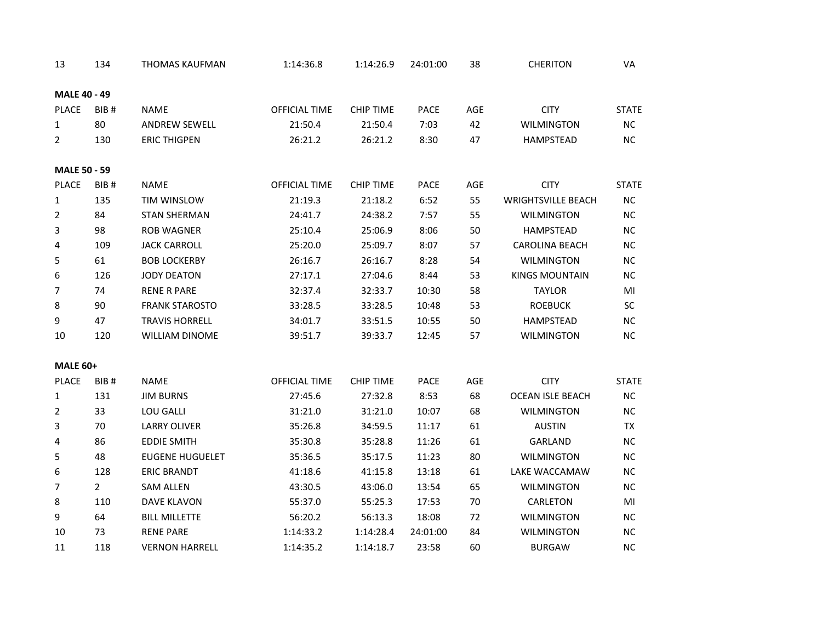| 13                  | 134              | <b>THOMAS KAUFMAN</b>  | 1:14:36.8     | 1:14:26.9        | 24:01:00 | 38  | <b>CHERITON</b>           | VA           |
|---------------------|------------------|------------------------|---------------|------------------|----------|-----|---------------------------|--------------|
| <b>MALE 40 - 49</b> |                  |                        |               |                  |          |     |                           |              |
| PLACE               | BIB <sub>#</sub> | <b>NAME</b>            | OFFICIAL TIME | <b>CHIP TIME</b> | PACE     | AGE | <b>CITY</b>               | <b>STATE</b> |
| 1                   | 80               | <b>ANDREW SEWELL</b>   | 21:50.4       | 21:50.4          | 7:03     | 42  | <b>WILMINGTON</b>         | <b>NC</b>    |
| $\overline{2}$      | 130              | <b>ERIC THIGPEN</b>    | 26:21.2       | 26:21.2          | 8:30     | 47  | HAMPSTEAD                 | NC           |
| <b>MALE 50 - 59</b> |                  |                        |               |                  |          |     |                           |              |
| <b>PLACE</b>        | BIB#             | <b>NAME</b>            | OFFICIAL TIME | <b>CHIP TIME</b> | PACE     | AGE | <b>CITY</b>               | <b>STATE</b> |
| 1                   | 135              | TIM WINSLOW            | 21:19.3       | 21:18.2          | 6:52     | 55  | <b>WRIGHTSVILLE BEACH</b> | NC           |
| 2                   | 84               | <b>STAN SHERMAN</b>    | 24:41.7       | 24:38.2          | 7:57     | 55  | <b>WILMINGTON</b>         | <b>NC</b>    |
| 3                   | 98               | <b>ROB WAGNER</b>      | 25:10.4       | 25:06.9          | 8:06     | 50  | <b>HAMPSTEAD</b>          | NC           |
| 4                   | 109              | <b>JACK CARROLL</b>    | 25:20.0       | 25:09.7          | 8:07     | 57  | <b>CAROLINA BEACH</b>     | $NC$         |
| 5                   | 61               | <b>BOB LOCKERBY</b>    | 26:16.7       | 26:16.7          | 8:28     | 54  | <b>WILMINGTON</b>         | <b>NC</b>    |
| 6                   | 126              | <b>JODY DEATON</b>     | 27:17.1       | 27:04.6          | 8:44     | 53  | <b>KINGS MOUNTAIN</b>     | <b>NC</b>    |
| 7                   | 74               | <b>RENE R PARE</b>     | 32:37.4       | 32:33.7          | 10:30    | 58  | <b>TAYLOR</b>             | MI           |
| 8                   | 90               | <b>FRANK STAROSTO</b>  | 33:28.5       | 33:28.5          | 10:48    | 53  | <b>ROEBUCK</b>            | SC           |
| 9                   | 47               | <b>TRAVIS HORRELL</b>  | 34:01.7       | 33:51.5          | 10:55    | 50  | HAMPSTEAD                 | <b>NC</b>    |
| 10                  | 120              | WILLIAM DINOME         | 39:51.7       | 39:33.7          | 12:45    | 57  | <b>WILMINGTON</b>         | $NC$         |
| <b>MALE 60+</b>     |                  |                        |               |                  |          |     |                           |              |
| PLACE               | BIB#             | <b>NAME</b>            | OFFICIAL TIME | <b>CHIP TIME</b> | PACE     | AGE | <b>CITY</b>               | <b>STATE</b> |
| 1                   | 131              | <b>JIM BURNS</b>       | 27:45.6       | 27:32.8          | 8:53     | 68  | <b>OCEAN ISLE BEACH</b>   | <b>NC</b>    |
| $\overline{2}$      | 33               | LOU GALLI              | 31:21.0       | 31:21.0          | 10:07    | 68  | <b>WILMINGTON</b>         | $NC$         |
| 3                   | 70               | <b>LARRY OLIVER</b>    | 35:26.8       | 34:59.5          | 11:17    | 61  | <b>AUSTIN</b>             | TX           |
| 4                   | 86               | <b>EDDIE SMITH</b>     | 35:30.8       | 35:28.8          | 11:26    | 61  | GARLAND                   | NC           |
| 5                   | 48               | <b>EUGENE HUGUELET</b> | 35:36.5       | 35:17.5          | 11:23    | 80  | <b>WILMINGTON</b>         | $NC$         |
| 6                   | 128              | <b>ERIC BRANDT</b>     | 41:18.6       | 41:15.8          | 13:18    | 61  | LAKE WACCAMAW             | $NC$         |
| 7                   | $2^{\circ}$      | <b>SAM ALLEN</b>       | 43:30.5       | 43:06.0          | 13:54    | 65  | <b>WILMINGTON</b>         | <b>NC</b>    |
| 8                   | 110              | <b>DAVE KLAVON</b>     | 55:37.0       | 55:25.3          | 17:53    | 70  | CARLETON                  | MI           |
| 9                   | 64               | <b>BILL MILLETTE</b>   | 56:20.2       | 56:13.3          | 18:08    | 72  | <b>WILMINGTON</b>         | <b>NC</b>    |
| 10                  | 73               | <b>RENE PARE</b>       | 1:14:33.2     | 1:14:28.4        | 24:01:00 | 84  | <b>WILMINGTON</b>         | <b>NC</b>    |
| 11                  | 118              | <b>VERNON HARRELL</b>  | 1:14:35.2     | 1:14:18.7        | 23:58    | 60  | <b>BURGAW</b>             | NC.          |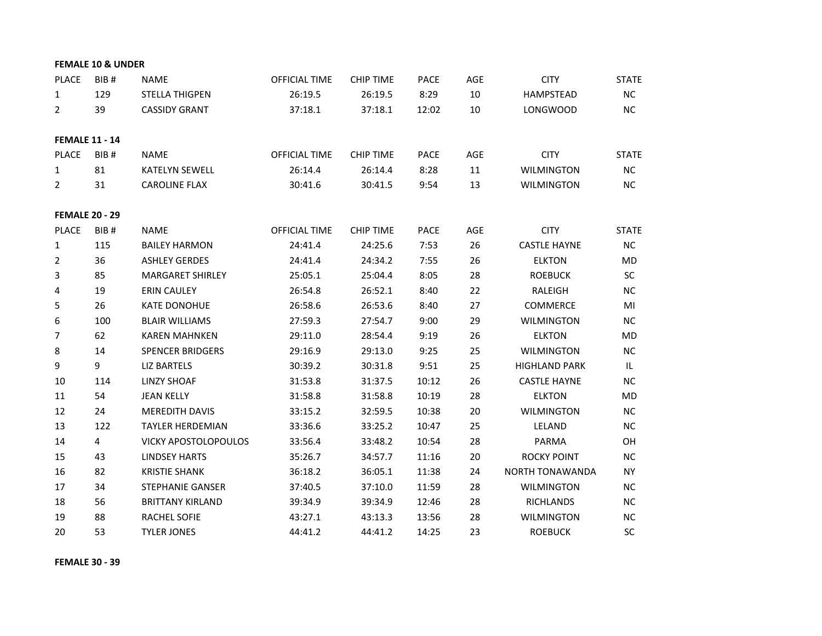|                | <b>FEMALE 10 &amp; UNDER</b> |                             |                      |                  |             |        |                      |              |
|----------------|------------------------------|-----------------------------|----------------------|------------------|-------------|--------|----------------------|--------------|
| PLACE          | BIB#                         | <b>NAME</b>                 | <b>OFFICIAL TIME</b> | <b>CHIP TIME</b> | <b>PACE</b> | AGE    | <b>CITY</b>          | <b>STATE</b> |
| $\mathbf{1}$   | 129                          | <b>STELLA THIGPEN</b>       | 26:19.5              | 26:19.5          | 8:29        | $10\,$ | <b>HAMPSTEAD</b>     | NC           |
| $\overline{2}$ | 39                           | <b>CASSIDY GRANT</b>        | 37:18.1              | 37:18.1          | 12:02       | $10\,$ | <b>LONGWOOD</b>      | NC           |
|                | <b>FEMALE 11 - 14</b>        |                             |                      |                  |             |        |                      |              |
| <b>PLACE</b>   | BIB <sub>#</sub>             | <b>NAME</b>                 | <b>OFFICIAL TIME</b> | <b>CHIP TIME</b> | <b>PACE</b> | AGE    | <b>CITY</b>          | <b>STATE</b> |
| $\mathbf{1}$   | 81                           | <b>KATELYN SEWELL</b>       | 26:14.4              | 26:14.4          | 8:28        | 11     | <b>WILMINGTON</b>    | <b>NC</b>    |
| $\overline{2}$ | 31                           | <b>CAROLINE FLAX</b>        | 30:41.6              | 30:41.5          | 9:54        | 13     | <b>WILMINGTON</b>    | <b>NC</b>    |
|                | <b>FEMALE 20 - 29</b>        |                             |                      |                  |             |        |                      |              |
| <b>PLACE</b>   | BIB#                         | <b>NAME</b>                 | <b>OFFICIAL TIME</b> | <b>CHIP TIME</b> | <b>PACE</b> | AGE    | <b>CITY</b>          | <b>STATE</b> |
| $\mathbf{1}$   | 115                          | <b>BAILEY HARMON</b>        | 24:41.4              | 24:25.6          | 7:53        | 26     | <b>CASTLE HAYNE</b>  | <b>NC</b>    |
| $\overline{2}$ | 36                           | <b>ASHLEY GERDES</b>        | 24:41.4              | 24:34.2          | 7:55        | 26     | <b>ELKTON</b>        | <b>MD</b>    |
| 3              | 85                           | <b>MARGARET SHIRLEY</b>     | 25:05.1              | 25:04.4          | 8:05        | 28     | <b>ROEBUCK</b>       | <b>SC</b>    |
| 4              | 19                           | <b>ERIN CAULEY</b>          | 26:54.8              | 26:52.1          | 8:40        | 22     | RALEIGH              | <b>NC</b>    |
| 5              | 26                           | <b>KATE DONOHUE</b>         | 26:58.6              | 26:53.6          | 8:40        | 27     | <b>COMMERCE</b>      | MI           |
| 6              | 100                          | <b>BLAIR WILLIAMS</b>       | 27:59.3              | 27:54.7          | 9:00        | 29     | <b>WILMINGTON</b>    | <b>NC</b>    |
| $\overline{7}$ | 62                           | <b>KAREN MAHNKEN</b>        | 29:11.0              | 28:54.4          | 9:19        | 26     | <b>ELKTON</b>        | <b>MD</b>    |
| 8              | 14                           | <b>SPENCER BRIDGERS</b>     | 29:16.9              | 29:13.0          | 9:25        | 25     | <b>WILMINGTON</b>    | <b>NC</b>    |
| 9              | 9                            | <b>LIZ BARTELS</b>          | 30:39.2              | 30:31.8          | 9:51        | 25     | <b>HIGHLAND PARK</b> | IL.          |
| 10             | 114                          | <b>LINZY SHOAF</b>          | 31:53.8              | 31:37.5          | 10:12       | 26     | <b>CASTLE HAYNE</b>  | $NC$         |
| 11             | 54                           | <b>JEAN KELLY</b>           | 31:58.8              | 31:58.8          | 10:19       | 28     | <b>ELKTON</b>        | MD           |
| 12             | 24                           | <b>MEREDITH DAVIS</b>       | 33:15.2              | 32:59.5          | 10:38       | 20     | <b>WILMINGTON</b>    | <b>NC</b>    |
| 13             | 122                          | <b>TAYLER HERDEMIAN</b>     | 33:36.6              | 33:25.2          | 10:47       | 25     | LELAND               | <b>NC</b>    |
| 14             | 4                            | <b>VICKY APOSTOLOPOULOS</b> | 33:56.4              | 33:48.2          | 10:54       | 28     | PARMA                | OH           |
| 15             | 43                           | <b>LINDSEY HARTS</b>        | 35:26.7              | 34:57.7          | 11:16       | 20     | <b>ROCKY POINT</b>   | NC           |
| 16             | 82                           | <b>KRISTIE SHANK</b>        | 36:18.2              | 36:05.1          | 11:38       | 24     | NORTH TONAWANDA      | <b>NY</b>    |
| 17             | 34                           | <b>STEPHANIE GANSER</b>     | 37:40.5              | 37:10.0          | 11:59       | 28     | <b>WILMINGTON</b>    | <b>NC</b>    |
| 18             | 56                           | <b>BRITTANY KIRLAND</b>     | 39:34.9              | 39:34.9          | 12:46       | 28     | <b>RICHLANDS</b>     | <b>NC</b>    |
| 19             | 88                           | <b>RACHEL SOFIE</b>         | 43:27.1              | 43:13.3          | 13:56       | 28     | <b>WILMINGTON</b>    | <b>NC</b>    |
| 20             | 53                           | <b>TYLER JONES</b>          | 44:41.2              | 44:41.2          | 14:25       | 23     | <b>ROEBUCK</b>       | <b>SC</b>    |

**FEMALE 30 - 39**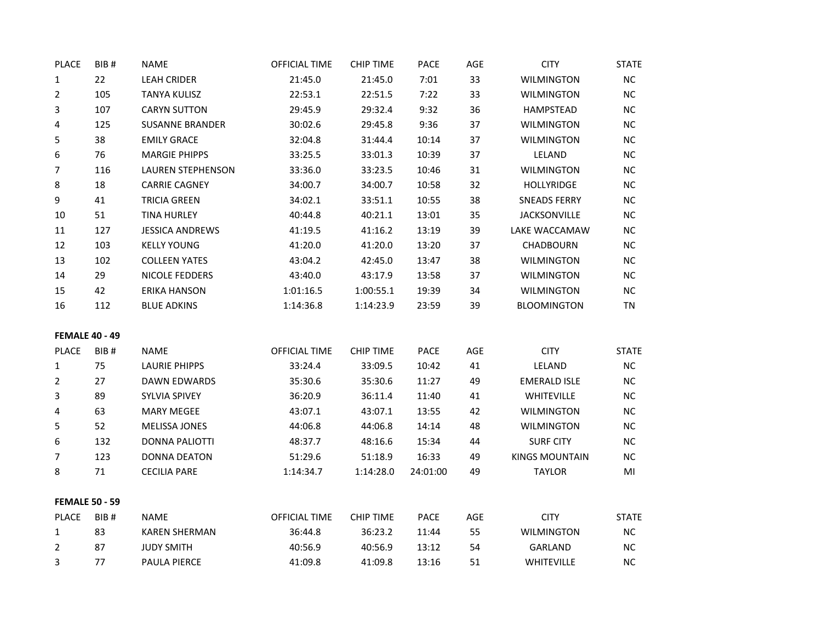| <b>PLACE</b>          | BIB# | <b>NAME</b>              | <b>OFFICIAL TIME</b> | <b>CHIP TIME</b> | PACE     | AGE | <b>CITY</b>           | <b>STATE</b> |
|-----------------------|------|--------------------------|----------------------|------------------|----------|-----|-----------------------|--------------|
| $\mathbf{1}$          | 22   | <b>LEAH CRIDER</b>       | 21:45.0              | 21:45.0          | 7:01     | 33  | <b>WILMINGTON</b>     | $\sf NC$     |
| $\overline{2}$        | 105  | <b>TANYA KULISZ</b>      | 22:53.1              | 22:51.5          | 7:22     | 33  | <b>WILMINGTON</b>     | NC           |
| 3                     | 107  | <b>CARYN SUTTON</b>      | 29:45.9              | 29:32.4          | 9:32     | 36  | <b>HAMPSTEAD</b>      | NC           |
| 4                     | 125  | <b>SUSANNE BRANDER</b>   | 30:02.6              | 29:45.8          | 9:36     | 37  | <b>WILMINGTON</b>     | NC           |
| 5                     | 38   | <b>EMILY GRACE</b>       | 32:04.8              | 31:44.4          | 10:14    | 37  | <b>WILMINGTON</b>     | <b>NC</b>    |
| 6                     | 76   | <b>MARGIE PHIPPS</b>     | 33:25.5              | 33:01.3          | 10:39    | 37  | LELAND                | $NC$         |
| 7                     | 116  | <b>LAUREN STEPHENSON</b> | 33:36.0              | 33:23.5          | 10:46    | 31  | <b>WILMINGTON</b>     | <b>NC</b>    |
| 8                     | 18   | <b>CARRIE CAGNEY</b>     | 34:00.7              | 34:00.7          | 10:58    | 32  | <b>HOLLYRIDGE</b>     | <b>NC</b>    |
| 9                     | 41   | <b>TRICIA GREEN</b>      | 34:02.1              | 33:51.1          | 10:55    | 38  | <b>SNEADS FERRY</b>   | NC           |
| 10                    | 51   | <b>TINA HURLEY</b>       | 40:44.8              | 40:21.1          | 13:01    | 35  | <b>JACKSONVILLE</b>   | NC           |
| 11                    | 127  | <b>JESSICA ANDREWS</b>   | 41:19.5              | 41:16.2          | 13:19    | 39  | LAKE WACCAMAW         | <b>NC</b>    |
| 12                    | 103  | <b>KELLY YOUNG</b>       | 41:20.0              | 41:20.0          | 13:20    | 37  | CHADBOURN             | <b>NC</b>    |
| 13                    | 102  | <b>COLLEEN YATES</b>     | 43:04.2              | 42:45.0          | 13:47    | 38  | <b>WILMINGTON</b>     | $NC$         |
| 14                    | 29   | NICOLE FEDDERS           | 43:40.0              | 43:17.9          | 13:58    | 37  | <b>WILMINGTON</b>     | NC           |
| 15                    | 42   | <b>ERIKA HANSON</b>      | 1:01:16.5            | 1:00:55.1        | 19:39    | 34  | <b>WILMINGTON</b>     | <b>NC</b>    |
| 16                    | 112  | <b>BLUE ADKINS</b>       | 1:14:36.8            | 1:14:23.9        | 23:59    | 39  | BLOOMINGTON           | TN           |
| <b>FEMALE 40 - 49</b> |      |                          |                      |                  |          |     |                       |              |
| <b>PLACE</b>          | BIB# | <b>NAME</b>              | OFFICIAL TIME        | <b>CHIP TIME</b> | PACE     | AGE | <b>CITY</b>           | <b>STATE</b> |
| 1                     | 75   | <b>LAURIE PHIPPS</b>     | 33:24.4              | 33:09.5          | 10:42    | 41  | LELAND                | $NC$         |
| $\overline{2}$        | 27   | DAWN EDWARDS             | 35:30.6              | 35:30.6          | 11:27    | 49  | EMERALD ISLE          | <b>NC</b>    |
| 3                     | 89   | SYLVIA SPIVEY            | 36:20.9              | 36:11.4          | 11:40    | 41  | WHITEVILLE            | NC           |
| 4                     | 63   | <b>MARY MEGEE</b>        | 43:07.1              | 43:07.1          | 13:55    | 42  | <b>WILMINGTON</b>     | $NC$         |
| 5                     | 52   | <b>MELISSA JONES</b>     | 44:06.8              | 44:06.8          | 14:14    | 48  | <b>WILMINGTON</b>     | NС           |
| 6                     | 132  | <b>DONNA PALIOTTI</b>    | 48:37.7              | 48:16.6          | 15:34    | 44  | <b>SURF CITY</b>      | <b>NC</b>    |
| 7                     | 123  | <b>DONNA DEATON</b>      | 51:29.6              | 51:18.9          | 16:33    | 49  | <b>KINGS MOUNTAIN</b> | ${\sf NC}$   |
| 8                     | 71   | <b>CECILIA PARE</b>      | 1:14:34.7            | 1:14:28.0        | 24:01:00 | 49  | <b>TAYLOR</b>         | MI           |
| <b>FEMALE 50 - 59</b> |      |                          |                      |                  |          |     |                       |              |
| <b>PLACE</b>          | BIB# | <b>NAME</b>              | <b>OFFICIAL TIME</b> | <b>CHIP TIME</b> | PACE     | AGE | <b>CITY</b>           | <b>STATE</b> |
| 1                     | 83   | <b>KAREN SHERMAN</b>     | 36:44.8              | 36:23.2          | 11:44    | 55  | <b>WILMINGTON</b>     | <b>NC</b>    |
| 2                     | 87   | <b>JUDY SMITH</b>        | 40:56.9              | 40:56.9          | 13:12    | 54  | <b>GARLAND</b>        | NC           |
| 3                     | 77   | PAULA PIERCE             | 41:09.8              | 41:09.8          | 13:16    | 51  | <b>WHITEVILLE</b>     | <b>NC</b>    |